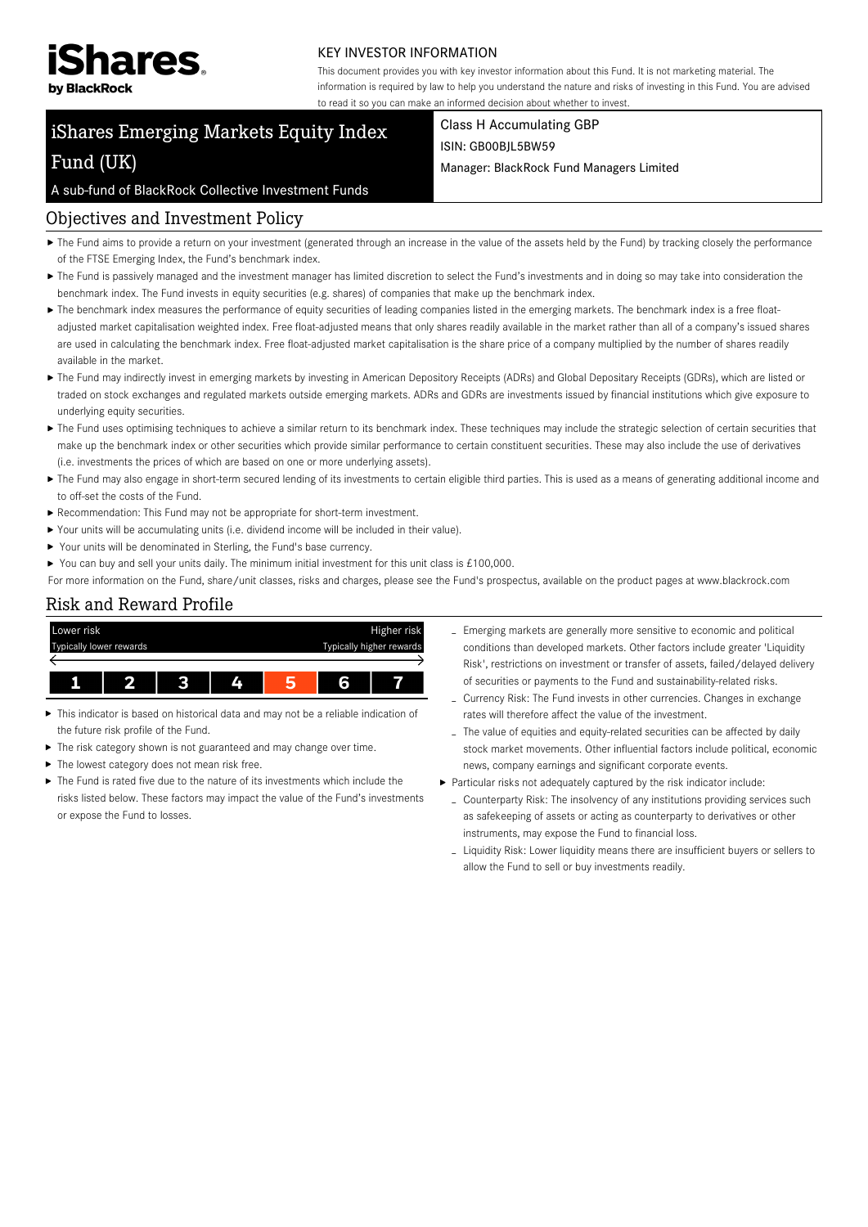

#### KEY INVESTOR INFORMATION

This document provides you with key investor information about this Fund. It is not marketing material. The information is required by law to help you understand the nature and risks of investing in this Fund. You are advised to read it so you can make an informed decision about whether to invest.

# iShares Emerging Markets Equity Index Fund (UK)

Class H Accumulating GBP ISIN: GB00BJL5BW59

Manager: BlackRock Fund Managers Limited

#### A sub-fund of BlackRock Collective Investment Funds

## Objectives and Investment Policy

- ▶ The Fund aims to provide a return on your investment (generated through an increase in the value of the assets held by the Fund) by tracking closely the performance of the FTSE Emerging Index, the Fund's benchmark index.
- ▶ The Fund is passively managed and the investment manager has limited discretion to select the Fund's investments and in doing so may take into consideration the benchmark index. The Fund invests in equity securities (e.g. shares) of companies that make up the benchmark index.
- The benchmark index measures the performance of equity securities of leading companies listed in the emerging markets. The benchmark index is a free floatadjusted market capitalisation weighted index. Free float-adjusted means that only shares readily available in the market rather than all of a company's issued shares are used in calculating the benchmark index. Free float-adjusted market capitalisation is the share price of a company multiplied by the number of shares readily available in the market.
- ▶ The Fund may indirectly invest in emerging markets by investing in American Depository Receipts (ADRs) and Global Depositary Receipts (GDRs), which are listed or traded on stock exchanges and regulated markets outside emerging markets. ADRs and GDRs are investments issued by financial institutions which give exposure to underlying equity securities.
- ▶ The Fund uses optimising techniques to achieve a similar return to its benchmark index. These techniques may include the strategic selection of certain securities that make up the benchmark index or other securities which provide similar performance to certain constituent securities. These may also include the use of derivatives (i.e. investments the prices of which are based on one or more underlying assets).
- ▶ The Fund may also engage in short-term secured lending of its investments to certain eligible third parties. This is used as a means of generating additional income and to off-set the costs of the Fund.
- Recommendation: This Fund may not be appropriate for short-term investment.
- Your units will be accumulating units (i.e. dividend income will be included in their value).
- ▶ Your units will be denominated in Sterling, the Fund's base currency.
- ▶ You can buy and sell your units daily. The minimum initial investment for this unit class is £100,000.
- For more information on the Fund, share/unit classes, risks and charges, please see the Fund's prospectus, available on the product pages at www.blackrock.com

### Risk and Reward Profile



- ь This indicator is based on historical data and may not be a reliable indication of the future risk profile of the Fund.
- $\blacktriangleright$  The risk category shown is not guaranteed and may change over time.
- ▶ The lowest category does not mean risk free.
- The Fund is rated five due to the nature of its investments which include the risks listed below. These factors may impact the value of the Fund's investments or expose the Fund to losses.
- Emerging markets are generally more sensitive to economic and political conditions than developed markets. Other factors include greater 'Liquidity Risk', restrictions on investment or transfer of assets, failed/delayed delivery of securities or payments to the Fund and sustainability-related risks.
- Currency Risk: The Fund invests in other currencies. Changes in exchange rates will therefore affect the value of the investment.
- The value of equities and equity-related securities can be affected by daily stock market movements. Other influential factors include political, economic news, company earnings and significant corporate events.
- Particular risks not adequately captured by the risk indicator include:
	- Counterparty Risk: The insolvency of any institutions providing services such as safekeeping of assets or acting as counterparty to derivatives or other instruments, may expose the Fund to financial loss.
	- Liquidity Risk: Lower liquidity means there are insufficient buyers or sellers to allow the Fund to sell or buy investments readily.